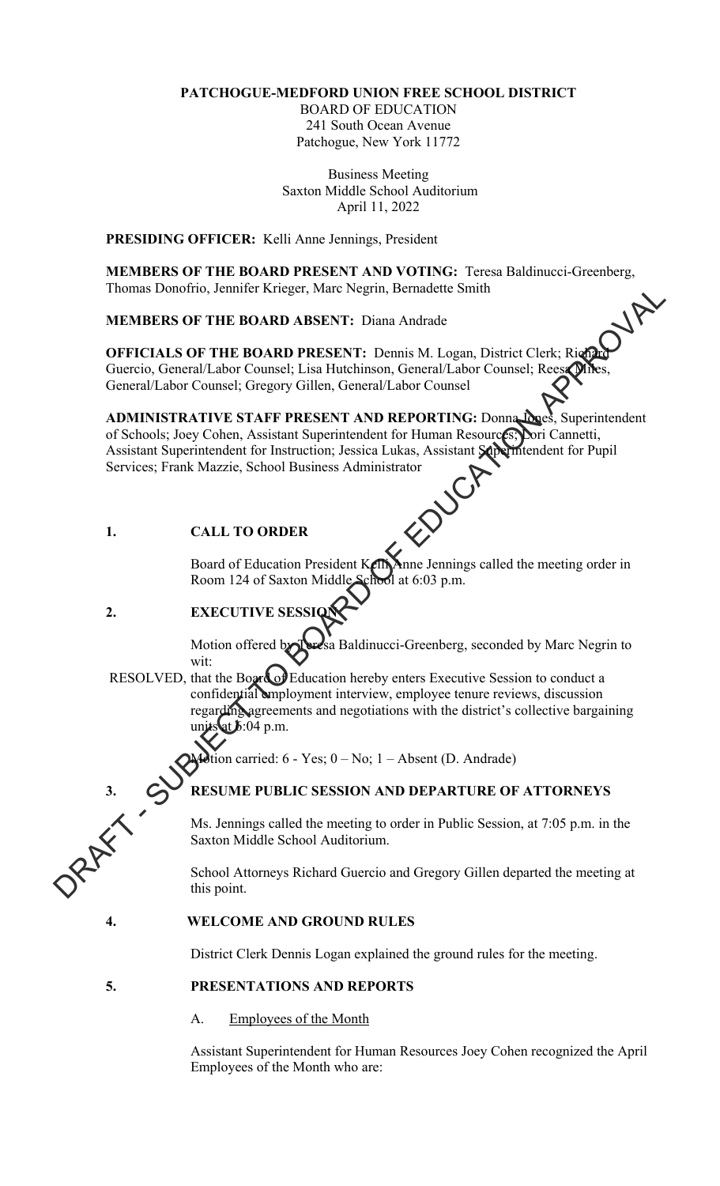# **PATCHOGUE-MEDFORD UNION FREE SCHOOL DISTRICT**

BOARD OF EDUCATION 241 South Ocean Avenue Patchogue, New York 11772

Business Meeting Saxton Middle School Auditorium April 11, 2022

**PRESIDING OFFICER:** Kelli Anne Jennings, President

**MEMBERS OF THE BOARD PRESENT AND VOTING:** Teresa Baldinucci-Greenberg, Thomas Donofrio, Jennifer Krieger, Marc Negrin, Bernadette Smith

**MEMBERS OF THE BOARD ABSENT:** Diana Andrade

**OFFICIALS OF THE BOARD PRESENT:** Dennis M. Logan, District Clerk; Richard Guercio, General/Labor Counsel; Lisa Hutchinson, General/Labor Counsel; Reesa Miles General/Labor Counsel; Gregory Gillen, General/Labor Counsel

**ADMINISTRATIVE STAFF PRESENT AND REPORTING:** Donna Lones, Superintendent of Schools: Joey Cohen, Assistant Superintendent for Human Resources; Lori Cannetti, of Schools; Joey Cohen, Assistant Superintendent for Human Resources; Assistant Superintendent for Instruction; Jessica Lukas, Assistant Superintendent for Pupil Services; Frank Mazzie, School Business Administrator<br>1. Thomas Donotino, Jennicr Kreger, Marc Negarn, Bernadette Smith<br>
MEMBERS OF THE BOARD ABSENT: Diana Andredo<br>
OFFICIALS OF THE BOARD PRESENT: Denna M. Logan, District Clerk: Rigga<br>
Grench/Labor Counsel; Gregory Gillen, Grenc

# **1. CALL TO ORDER**

Board of Education President Kelli Anne Jennings called the meeting order in Room 124 of Saxton Middle School at 6:03 p.m.

# **2. EXECUTIVE SESSI**

Motion offered by Teresa Baldinucci-Greenberg, seconded by Marc Negrin to wit:

RESOLVED, that the Board of Education hereby enters Executive Session to conduct a confidential employment interview, employee tenure reviews, discussion regarding agreements and negotiations with the district's collective bargaining units at  $\delta$ :04 p.m.

 $\chi$  tion carried: 6 - Yes;  $0 - No$ ; 1 – Absent (D. Andrade)

# **3. RESUME PUBLIC SESSION AND DEPARTURE OF ATTORNEYS**

Ms. Jennings called the meeting to order in Public Session, at 7:05 p.m. in the Saxton Middle School Auditorium.

School Attorneys Richard Guercio and Gregory Gillen departed the meeting at this point.

# **4. WELCOME AND GROUND RULES**

District Clerk Dennis Logan explained the ground rules for the meeting.

# **5. PRESENTATIONS AND REPORTS**

A. Employees of the Month

Assistant Superintendent for Human Resources Joey Cohen recognized the April Employees of the Month who are: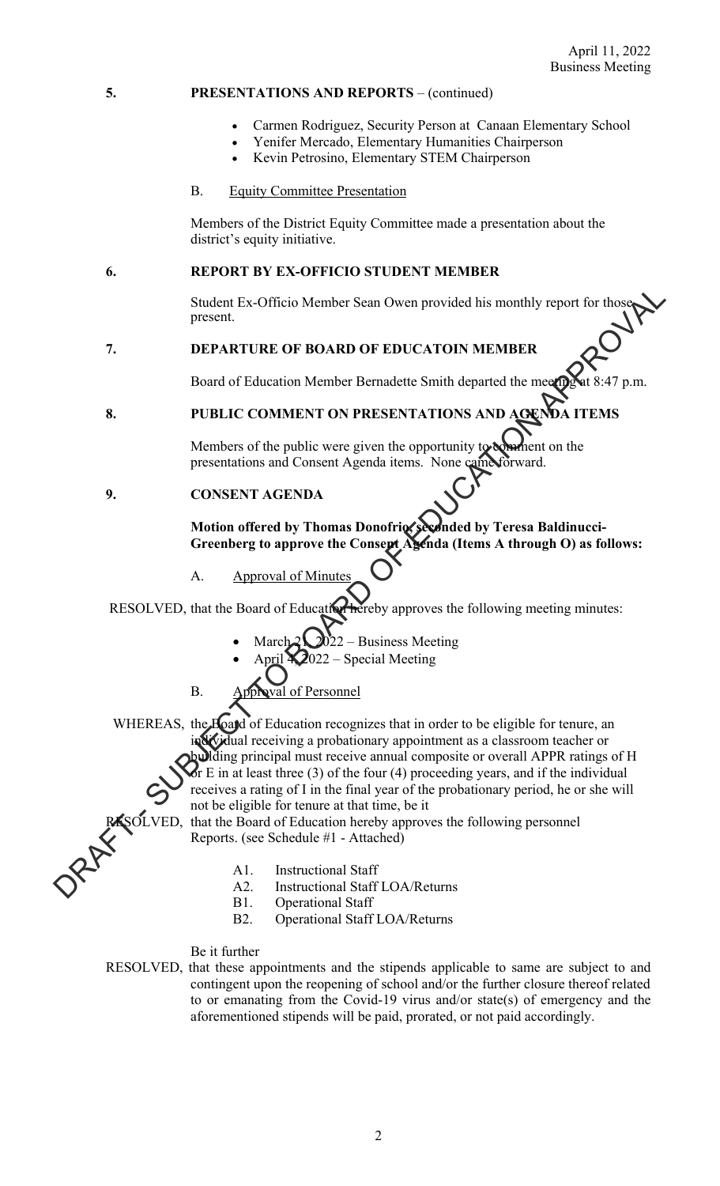### **5. PRESENTATIONS AND REPORTS** – (continued)

- Carmen Rodriguez, Security Person at Canaan Elementary School
- Yenifer Mercado, Elementary Humanities Chairperson
- Kevin Petrosino, Elementary STEM Chairperson
- B. Equity Committee Presentation

Members of the District Equity Committee made a presentation about the district's equity initiative.

## **6. REPORT BY EX-OFFICIO STUDENT MEMBER**

Student Ex-Officio Member Sean Owen provided his monthly report for thos present.

### **7. DEPARTURE OF BOARD OF EDUCATOIN MEMBER**

Board of Education Member Bernadette Smith departed the meeting

# **8. PUBLIC COMMENT ON PRESENTATIONS AND AGENDA ITEMS**

Members of the public were given the opportunity to comment on the presentations and Consent Agenda items. None came forward.

## **9. CONSENT AGENDA**

### Motion offered by Thomas Donofrio, seconded by Teresa Baldinucci-Greenberg to approve the Consept Agenda (Items A through O) as follows:

A. Approval of Minute

RESOLVED, that the Board of Education hereby approves the following meeting minutes:

- March  $2\sqrt{2022}$  Business Meeting
- $2022$  Special Meeting
- B. Approval of Personnel
- WHEREAS, the Board of Education recognizes that in order to be eligible for tenure, an individual receiving a probationary appointment as a classroom teacher or building principal must receive annual composite or overall APPR ratings of H Student Ex-Officio Member Scan Owen provided his monthly report for those<br>
present.<br>
T. DEPARTURE OF BOARD OF EDUCATOIN MEMBER<br>
Board of Feducation Member Bernadette Smith departed the measure<br>
of the public COMMENT ON PR

or E in at least three  $(3)$  of the four  $(4)$  proceeding years, and if the individual receives a rating of I in the final year of the probationary period, he or she will not be eligible for tenure at that time, be it

SOLVED, that the Board of Education hereby approves the following personnel Reports. (see Schedule #1 - Attached)

- A1. Instructional Staff
- A2. Instructional Staff LOA/Returns
- B1. Operational Staff
- B2. Operational Staff LOA/Returns

Be it further

RESOLVED, that these appointments and the stipends applicable to same are subject to and contingent upon the reopening of school and/or the further closure thereof related to or emanating from the Covid-19 virus and/or state(s) of emergency and the aforementioned stipends will be paid, prorated, or not paid accordingly.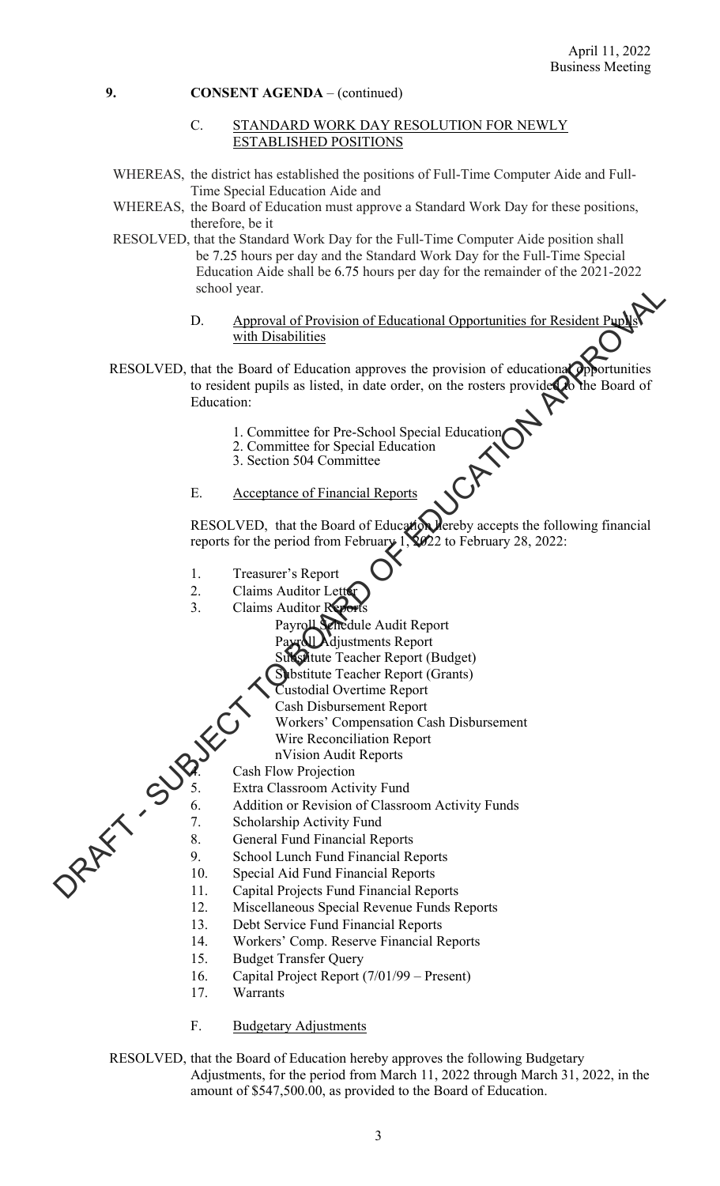### C. STANDARD WORK DAY RESOLUTION FOR NEWLY ESTABLISHED POSITIONS

- WHEREAS, the district has established the positions of Full-Time Computer Aide and Full-Time Special Education Aide and
- WHEREAS, the Board of Education must approve a Standard Work Day for these positions, therefore, be it
- RESOLVED, that the Standard Work Day for the Full-Time Computer Aide position shall be 7.25 hours per day and the Standard Work Day for the Full-Time Special Education Aide shall be 6.75 hours per day for the remainder of the 2021-2022 school year.
	- D. Approval of Provision of Educational Opportunities for Resident Pupils with Disabilities
- RESOLVED, that the Board of Education approves the provision of educational opportunities to resident pupils as listed, in date order, on the rosters provided to the Board of Education: school year.<br>
D. Approval of Provision of Educational Opportunities for Resident Pup<br>
While Disabilities<br>
RESOLVED, that the Roard of Education approves the provision of educational<br>
Theoretical provision of educational<br>
	- 1. Committee for Pre-School Special Education
	- 2. Committee for Special Education
	- 3. Section 504 Committee
	- E. Acceptance of Financial Reports

RESOLVED, that the Board of Education hereby accepts the following financial reports for the period from February  $1$ ,  $2022$  to February 28, 2022:

- 1. Treasurer's Report
- 2. Claims Auditor Let
- 3. Claims Auditor R
	- Payroll Schedule Audit Report
	- Payroll Adjustments Report
	- Substitute Teacher Report (Budget)
	- Substitute Teacher Report (Grants)
	- Custodial Overtime Report
	- Cash Disbursement Report
	- Workers' Compensation Cash Disbursement
	- Wire Reconciliation Report
	- nVision Audit Reports
	-
- 5. Extra Classroom Activity Fund<br>6. Addition or Revision of Classro
	- Addition or Revision of Classroom Activity Funds
- 7. Scholarship Activity Fund
- 8. General Fund Financial Reports
- 9. School Lunch Fund Financial Reports
- Wire Reconcil<br>
nVision Audit<br>
Cash Flow Projection<br>
6. Addition or r<br>
8.<br>
Cash Flow Projection<br>
4.<br>
Schol<br>
6. Addition or r<br>
8. 10. Special Aid Fund Financial Reports
	- 11. Capital Projects Fund Financial Reports
	- 12. Miscellaneous Special Revenue Funds Reports
	- 13. Debt Service Fund Financial Reports
	- 14. Workers' Comp. Reserve Financial Reports
	- 15. Budget Transfer Query
	- 16. Capital Project Report (7/01/99 Present)
	- 17. Warrants
	- F. Budgetary Adjustments

RESOLVED, that the Board of Education hereby approves the following Budgetary Adjustments, for the period from March 11, 2022 through March 31, 2022, in the amount of \$547,500.00, as provided to the Board of Education.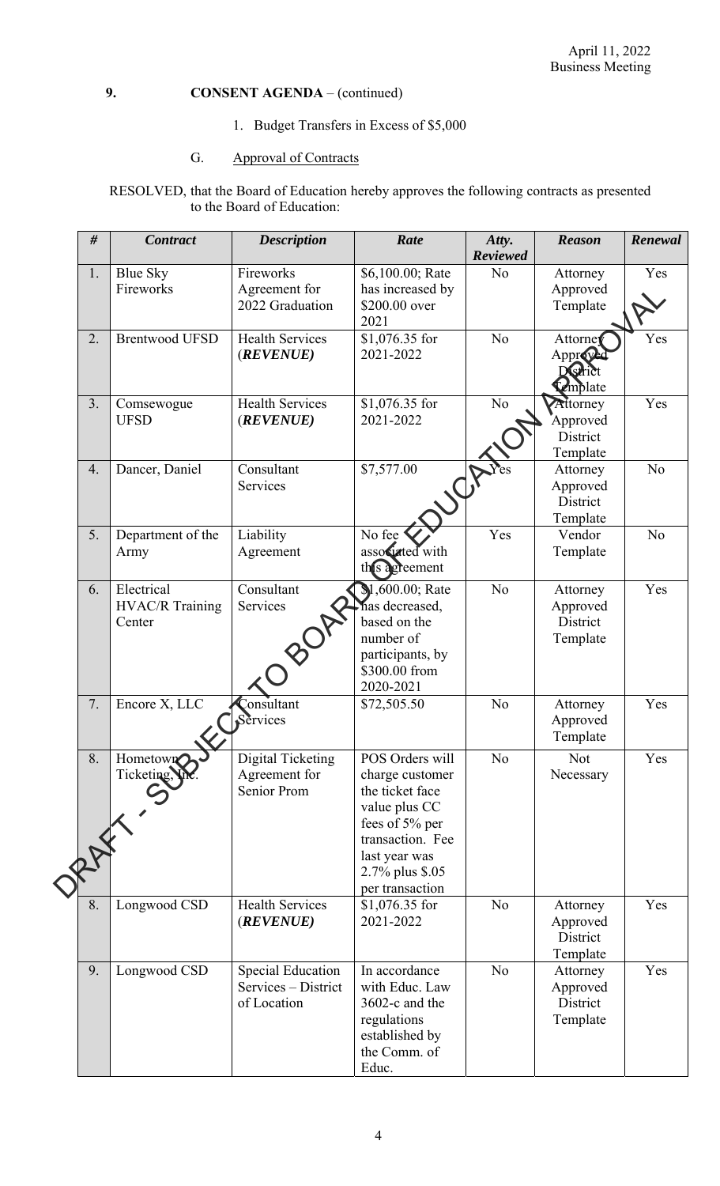1. Budget Transfers in Excess of \$5,000

# G. Approval of Contracts

RESOLVED, that the Board of Education hereby approves the following contracts as presented to the Board of Education:

| #   | <b>Contract</b>        | <b>Description</b>       | Rate             | Atty.           | <b>Reason</b>   | Renewal        |
|-----|------------------------|--------------------------|------------------|-----------------|-----------------|----------------|
|     |                        |                          |                  | <b>Reviewed</b> |                 |                |
| 1.  | <b>Blue Sky</b>        | Fireworks                | \$6,100.00; Rate | N <sub>o</sub>  | Attorney        | Yes            |
|     | Fireworks              | Agreement for            | has increased by |                 | Approved        |                |
|     |                        | 2022 Graduation          | \$200.00 over    |                 | Template        |                |
|     |                        |                          | 2021             |                 |                 |                |
| 2.  | <b>Brentwood UFSD</b>  | <b>Health Services</b>   | \$1,076.35 for   | N <sub>o</sub>  | Attorney        | Yes            |
|     |                        | (REVENUE)                | 2021-2022        |                 | Approved        |                |
|     |                        |                          |                  |                 | District        |                |
|     |                        |                          |                  |                 | Complate        |                |
| 3.  | Comsewogue             | <b>Health Services</b>   | \$1,076.35 for   | N <sub>o</sub>  | Attorney        | Yes            |
|     | <b>UFSD</b>            | (REVENUE)                | 2021-2022        |                 | <b>Approved</b> |                |
|     |                        |                          |                  |                 | District        |                |
|     |                        |                          |                  |                 | Template        |                |
| 4.  | Dancer, Daniel         | Consultant               | \$7,577.00       |                 | Attorney        | N <sub>o</sub> |
|     |                        | Services                 |                  |                 | Approved        |                |
|     |                        |                          |                  |                 | District        |                |
|     |                        |                          |                  |                 | Template        |                |
| 5.  | Department of the      | Liability                | No fee           | Yes             | Vendor          | N <sub>o</sub> |
|     | Army                   | Agreement                | associated with  |                 | Template        |                |
|     |                        |                          | thes agreement   |                 |                 |                |
| 6.  | Electrical             | Consultant               | \$1,600.00; Rate | N <sub>o</sub>  | Attorney        | Yes            |
|     | <b>HVAC/R Training</b> | Services                 | has decreased,   |                 | Approved        |                |
|     | Center                 |                          | based on the     |                 | District        |                |
|     |                        |                          | number of        |                 | Template        |                |
|     |                        |                          | participants, by |                 |                 |                |
|     |                        |                          | \$300.00 from    |                 |                 |                |
|     |                        |                          | 2020-2021        |                 |                 |                |
| 7.  | Encore $X, LLC$        | Consultant               | \$72,505.50      | N <sub>o</sub>  | Attorney        | Yes            |
|     |                        | Services                 |                  |                 | Approved        |                |
|     |                        |                          |                  |                 | Template        |                |
|     |                        |                          |                  |                 |                 |                |
| 8.  | Hometown               | Digital Ticketing        | POS Orders will  | No              | <b>Not</b>      | Yes            |
|     | Ticketing, Viv.        | Agreement for            | charge customer  |                 | Necessary       |                |
|     |                        | Senior Prom              | the ticket face  |                 |                 |                |
|     |                        |                          | value plus CC    |                 |                 |                |
|     |                        |                          | fees of 5% per   |                 |                 |                |
| RAX |                        |                          | transaction. Fee |                 |                 |                |
|     |                        |                          | last year was    |                 |                 |                |
|     |                        |                          | 2.7% plus \$.05  |                 |                 |                |
|     |                        |                          | per transaction  |                 |                 |                |
| 8.  | Longwood CSD           | <b>Health Services</b>   | \$1,076.35 for   | N <sub>o</sub>  | Attorney        | Yes            |
|     |                        | (REVENUE)                | 2021-2022        |                 | Approved        |                |
|     |                        |                          |                  |                 | District        |                |
|     |                        |                          |                  |                 | Template        |                |
| 9.  | Longwood CSD           | <b>Special Education</b> | In accordance    | N <sub>o</sub>  | Attorney        | Yes            |
|     |                        | Services – District      | with Educ. Law   |                 | Approved        |                |
|     |                        | of Location              | 3602-c and the   |                 | District        |                |
|     |                        |                          | regulations      |                 | Template        |                |
|     |                        |                          | established by   |                 |                 |                |
|     |                        |                          | the Comm. of     |                 |                 |                |
|     |                        |                          | Educ.            |                 |                 |                |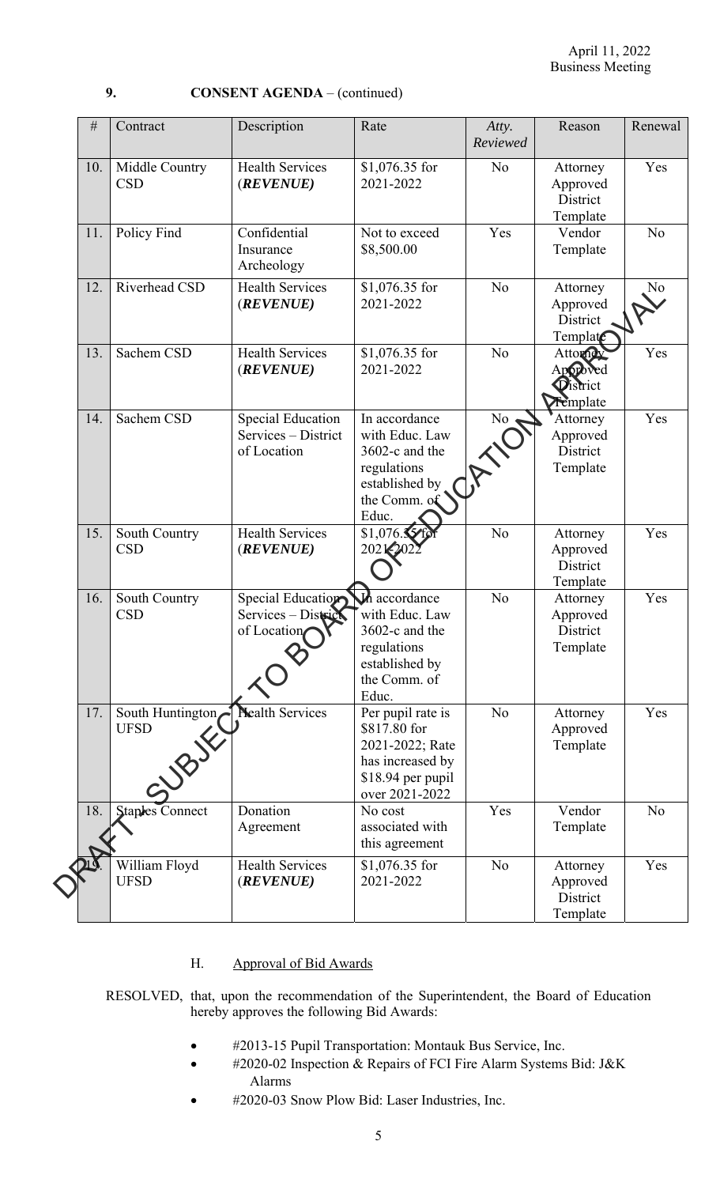| #   | Contract                                 | Description                                                    | Rate                                                                                                               | Atty.<br>Reviewed | Reason                                       | Renewal        |
|-----|------------------------------------------|----------------------------------------------------------------|--------------------------------------------------------------------------------------------------------------------|-------------------|----------------------------------------------|----------------|
| 10. | Middle Country<br><b>CSD</b>             | <b>Health Services</b><br>(REVENUE)                            | \$1,076.35 for<br>2021-2022                                                                                        | N <sub>o</sub>    | Attorney<br>Approved<br>District<br>Template | Yes            |
| 11. | Policy Find                              | Confidential<br>Insurance<br>Archeology                        | Not to exceed<br>\$8,500.00                                                                                        | Yes               | Vendor<br>Template                           | No             |
| 12. | Riverhead CSD                            | <b>Health Services</b><br>(REVENUE)                            | \$1,076.35 for<br>2021-2022                                                                                        | N <sub>o</sub>    | Attorney<br>Approved<br>District<br>Template | No             |
| 13. | Sachem CSD                               | <b>Health Services</b><br>(REVENUE)                            | \$1,076.35 for<br>2021-2022                                                                                        | N <sub>o</sub>    | Attorney<br>Approved<br>District<br>Femplate | Yes            |
| 14. | Sachem CSD                               | <b>Special Education</b><br>Services - District<br>of Location | In accordance<br>with Educ. Law<br>3602-c and the<br>regulations<br>established by<br>the Comm. of<br>Educ.        | No                | Attorney<br>Approved<br>District<br>Template | Yes            |
| 15. | South Country<br><b>CSD</b>              | <b>Health Services</b><br>(REVENUE)                            | \$1,076.<br>202120                                                                                                 | N <sub>o</sub>    | Attorney<br>Approved<br>District<br>Template | Yes            |
| 16. | South Country<br><b>CSD</b>              | Special Education<br>Services - District<br>of Location        | <b>In</b> accordance<br>with Educ. Law<br>3602-c and the<br>regulations<br>established by<br>the Comm. of<br>Educ. | N <sub>o</sub>    | Attorney<br>Approved<br>District<br>Template | Yes            |
| 17. | South Huntington<br><b>UFSD</b><br>SUBJE | <b>Nealth Services</b>                                         | Per pupil rate is<br>\$817.80 for<br>2021-2022; Rate<br>has increased by<br>\$18.94 per pupil<br>over 2021-2022    | No                | Attorney<br>Approved<br>Template             | Yes            |
| 18. | <b>Staples Connect</b>                   | Donation<br>Agreement                                          | No cost<br>associated with<br>this agreement                                                                       | Yes               | Vendor<br>Template                           | N <sub>o</sub> |
|     | William Floyd<br><b>UFSD</b>             | <b>Health Services</b><br>(REVENUE)                            | $$1,076.35$ for<br>2021-2022                                                                                       | N <sub>o</sub>    | Attorney<br>Approved<br>District<br>Template | Yes            |

# H. Approval of Bid Awards

RESOLVED, that, upon the recommendation of the Superintendent, the Board of Education hereby approves the following Bid Awards:

- #2013-15 Pupil Transportation: Montauk Bus Service, Inc.
- #2020-02 Inspection & Repairs of FCI Fire Alarm Systems Bid: J&K Alarms
- #2020-03 Snow Plow Bid: Laser Industries, Inc.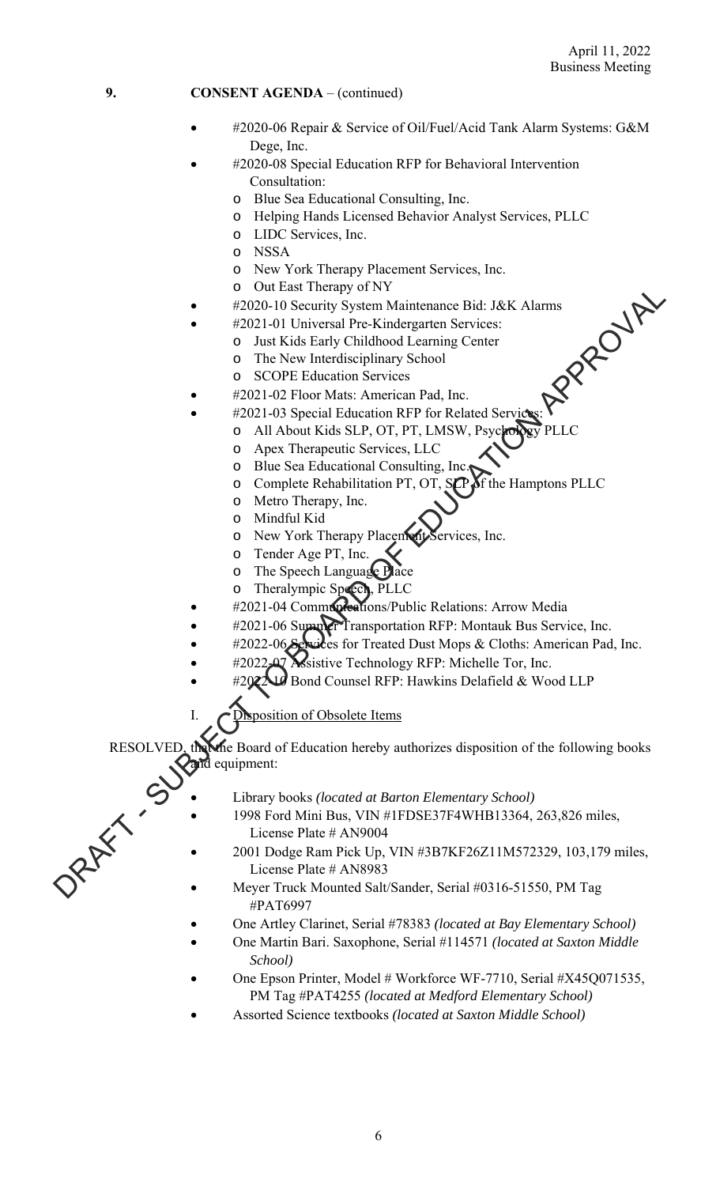- #2020-06 Repair & Service of Oil/Fuel/Acid Tank Alarm Systems: G&M Dege, Inc.
- #2020-08 Special Education RFP for Behavioral Intervention Consultation:
	- o Blue Sea Educational Consulting, Inc.
	- o Helping Hands Licensed Behavior Analyst Services, PLLC
	- o LIDC Services, Inc.
	- o NSSA
	- o New York Therapy Placement Services, Inc.
	- o Out East Therapy of NY
- #2020-10 Security System Maintenance Bid: J&K Alarms<br>#2021-01 Universal Pre-Kindergarten Services:<br>
o Just Kids Early Childhood Learning Center<br>
o The New Interdisciplinary School<br>
o SCOPE Education Services<br>#2021-02 Floor
- #2021-01 Universal Pre-Kindergarten Services:
	- o Just Kids Early Childhood Learning Center
	- o The New Interdisciplinary School
	- o SCOPE Education Services
- #2021-02 Floor Mats: American Pad, Inc.
- #2021-03 Special Education RFP for Related Services:
	- o All About Kids SLP, OT, PT, LMSW, Psychol
		- o Apex Therapeutic Services, LLC
		- o Blue Sea Educational Consulting, Inc.
		- o Complete Rehabilitation PT, OT, SCP of the Hamptons PLLC
		- o Metro Therapy, Inc.
		- o Mindful Kid
		- o New York Therapy Placement Services, Inc.
		- o Tender Age PT, Inc.
		- o The Speech Language Place
	- o Theralympic Speech, PLLC
- #2021-04 Communications/Public Relations: Arrow Media
- #2021-06 Summer Transportation RFP: Montauk Bus Service, Inc.
- #2022-06 Services for Treated Dust Mops & Cloths: American Pad, Inc.
- **Assistive Technology RFP: Michelle Tor, Inc.**
- $10$  Bond Counsel RFP: Hawkins Delafield & Wood LLP

sposition of Obsolete Items

the Board of Education hereby authorizes disposition of the following books and equipment: COLUMBER FREED TOTATION CONTROLL IS a stronger of the Columber of Economic Columb Press, and the Scheme of the Natural Press, the Columb Columb Columb Columb Columb Columb Columb Columb Columb Columb Columb Columb Columb

- Library books *(located at Barton Elementary School)*
- 1998 Ford Mini Bus, VIN #1FDSE37F4WHB13364, 263,826 miles, License Plate # AN9004
- 2001 Dodge Ram Pick Up, VIN #3B7KF26Z11M572329, 103,179 miles, License Plate # AN8983
- Meyer Truck Mounted Salt/Sander, Serial #0316-51550, PM Tag #PAT6997
- One Artley Clarinet, Serial #78383 *(located at Bay Elementary School)*
- One Martin Bari. Saxophone, Serial #114571 *(located at Saxton Middle School)*
- One Epson Printer, Model # Workforce WF-7710, Serial #X45Q071535, PM Tag #PAT4255 *(located at Medford Elementary School)*
- Assorted Science textbooks *(located at Saxton Middle School)*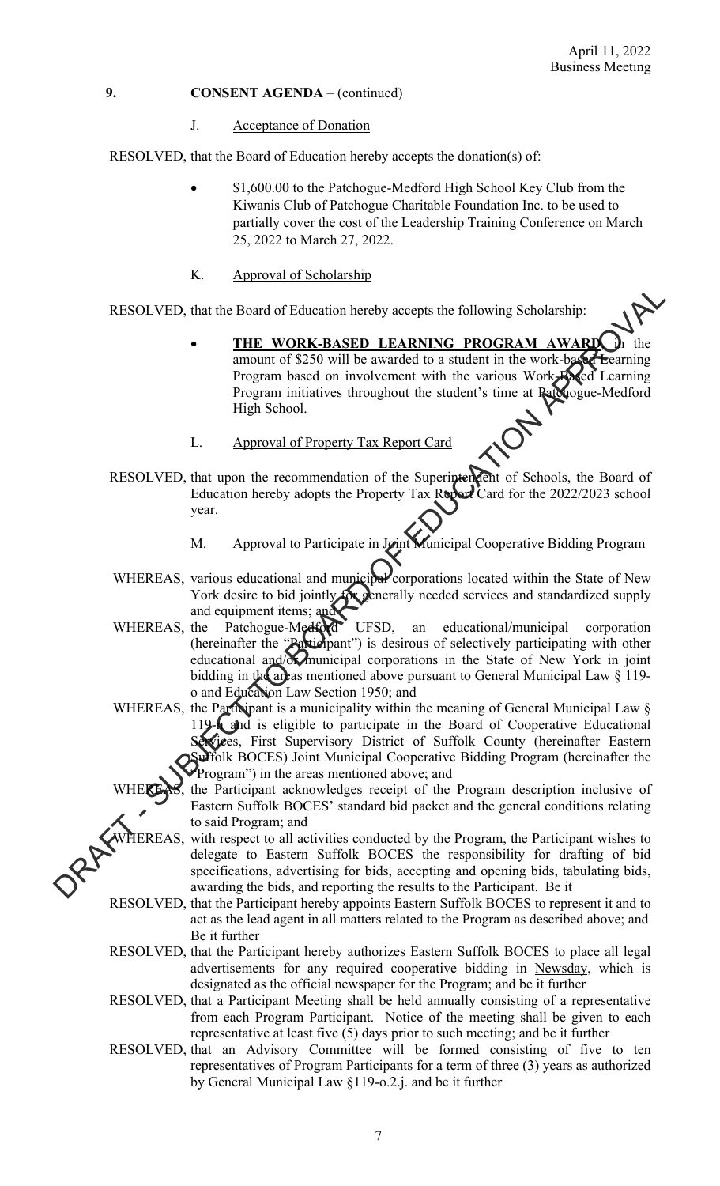#### J. Acceptance of Donation

RESOLVED, that the Board of Education hereby accepts the donation(s) of:

- \$1,600.00 to the Patchogue-Medford High School Key Club from the Kiwanis Club of Patchogue Charitable Foundation Inc. to be used to partially cover the cost of the Leadership Training Conference on March 25, 2022 to March 27, 2022.
- K. Approval of Scholarship

RESOLVED, that the Board of Education hereby accepts the following Scholarship:

- THE WORK-BASED LEARNING PROGRAM AWARD amount of \$250 will be awarded to a student in the work-based Learning Program based on involvement with the various Work-Based Learning Program initiatives throughout the student's time at Patchogue-Medford High School.
- L. Approval of Property Tax Report Card
- RESOLVED, that upon the recommendation of the Superintendent of Schools, the Board of Education hereby adopts the Property Tax Report Card for the 2022/2023 school year.
	- M. Approval to Participate in Joint Municipal Cooperative Bidding Program
- WHEREAS, various educational and municipal corporations located within the State of New York desire to bid jointly for generally needed services and standardized supply and equipment items; and
- WHEREAS, the Patchogue-Medford UFSD, an educational/municipal corporation (hereinafter the "Participant") is desirous of selectively participating with other educational and/or municipal corporations in the State of New York in joint bidding in the areas mentioned above pursuant to General Municipal Law § 119o and Education Law Section 1950; and RESOLVED, that the Board of Education hereby accepts the following Scholarsline<br>
Frogram based on involvement with the warious Work-**SAC Learning**<br>
Program interaction in involvement with the various Work-Second Learning<br>
	- WHEREAS, the Participant is a municipality within the meaning of General Municipal Law § 119-**h** and is eligible to participate in the Board of Cooperative Educational Services, First Supervisory District of Suffolk County (hereinafter Eastern Suffolk BOCES) Joint Municipal Cooperative Bidding Program (hereinafter the Program") in the areas mentioned above; and

the Participant acknowledges receipt of the Program description inclusive of Eastern Suffolk BOCES' standard bid packet and the general conditions relating to said Program; and

- HEREAS, with respect to all activities conducted by the Program, the Participant wishes to delegate to Eastern Suffolk BOCES the responsibility for drafting of bid specifications, advertising for bids, accepting and opening bids, tabulating bids, awarding the bids, and reporting the results to the Participant. Be it
- RESOLVED, that the Participant hereby appoints Eastern Suffolk BOCES to represent it and to act as the lead agent in all matters related to the Program as described above; and Be it further
- RESOLVED, that the Participant hereby authorizes Eastern Suffolk BOCES to place all legal advertisements for any required cooperative bidding in Newsday, which is designated as the official newspaper for the Program; and be it further
- RESOLVED, that a Participant Meeting shall be held annually consisting of a representative from each Program Participant. Notice of the meeting shall be given to each representative at least five (5) days prior to such meeting; and be it further
- RESOLVED, that an Advisory Committee will be formed consisting of five to ten representatives of Program Participants for a term of three (3) years as authorized by General Municipal Law §119-o.2.j. and be it further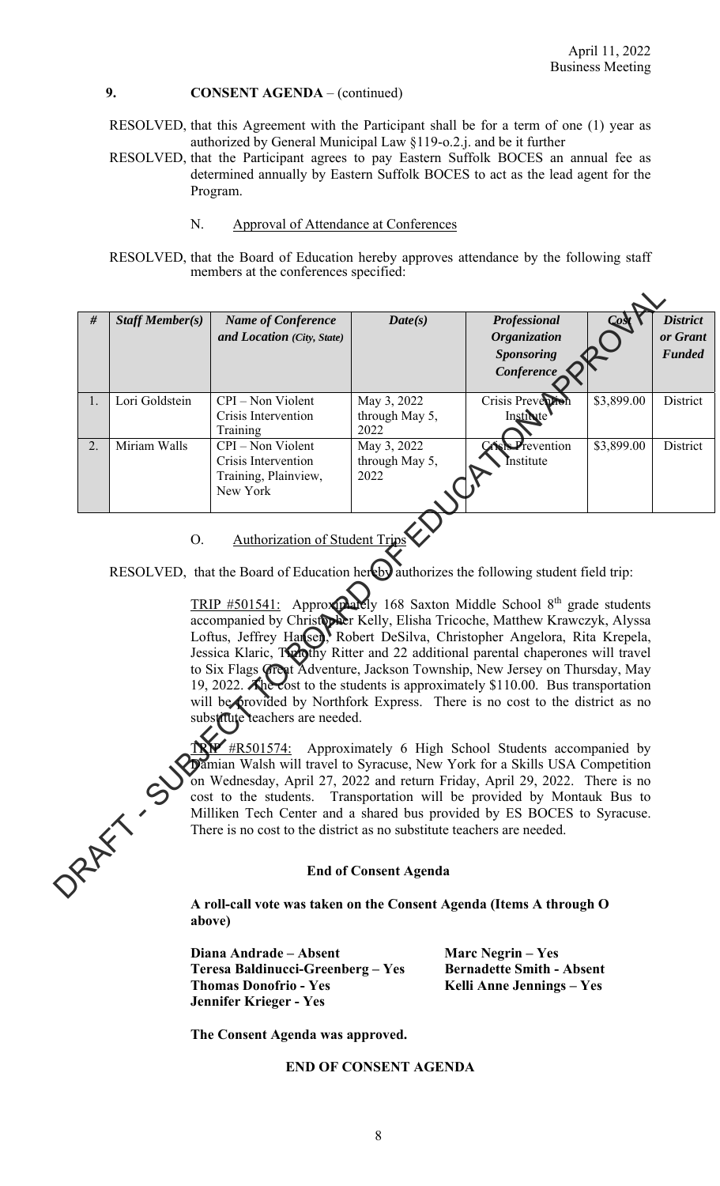- RESOLVED, that this Agreement with the Participant shall be for a term of one (1) year as authorized by General Municipal Law §119-o.2.j. and be it further
- RESOLVED, that the Participant agrees to pay Eastern Suffolk BOCES an annual fee as determined annually by Eastern Suffolk BOCES to act as the lead agent for the Program.
	- N. Approval of Attendance at Conferences
- RESOLVED, that the Board of Education hereby approves attendance by the following staff members at the conferences specified:

| $\#$                                                                                                                                                                                                                                                                                                                                                                                                                                                                                                                                                                                                                                                                                                          | <b>Staff Member(s)</b> | <b>Name of Conference</b>       | Date(s)                | <b>Professional</b> |            | <b>District</b> |
|---------------------------------------------------------------------------------------------------------------------------------------------------------------------------------------------------------------------------------------------------------------------------------------------------------------------------------------------------------------------------------------------------------------------------------------------------------------------------------------------------------------------------------------------------------------------------------------------------------------------------------------------------------------------------------------------------------------|------------------------|---------------------------------|------------------------|---------------------|------------|-----------------|
|                                                                                                                                                                                                                                                                                                                                                                                                                                                                                                                                                                                                                                                                                                               |                        | and Location (City, State)      |                        | <b>Organization</b> |            | or Grant        |
|                                                                                                                                                                                                                                                                                                                                                                                                                                                                                                                                                                                                                                                                                                               |                        |                                 |                        | <b>Sponsoring</b>   |            | <b>Funded</b>   |
|                                                                                                                                                                                                                                                                                                                                                                                                                                                                                                                                                                                                                                                                                                               |                        |                                 |                        | Conference          |            |                 |
| 1.                                                                                                                                                                                                                                                                                                                                                                                                                                                                                                                                                                                                                                                                                                            | Lori Goldstein         | CPI - Non Violent               | May 3, 2022            | Crisis Preven       | \$3,899.00 | District        |
|                                                                                                                                                                                                                                                                                                                                                                                                                                                                                                                                                                                                                                                                                                               |                        | Crisis Intervention<br>Training | through May 5,<br>2022 | Institute           |            |                 |
| 2.                                                                                                                                                                                                                                                                                                                                                                                                                                                                                                                                                                                                                                                                                                            | Miriam Walls           | CPI - Non Violent               | May 3, 2022            | revention           | \$3,899.00 | District        |
|                                                                                                                                                                                                                                                                                                                                                                                                                                                                                                                                                                                                                                                                                                               |                        | Crisis Intervention             | through May 5,         | Institute           |            |                 |
|                                                                                                                                                                                                                                                                                                                                                                                                                                                                                                                                                                                                                                                                                                               |                        | Training, Plainview,            | 2022                   |                     |            |                 |
|                                                                                                                                                                                                                                                                                                                                                                                                                                                                                                                                                                                                                                                                                                               |                        | New York                        |                        |                     |            |                 |
| RESOLVED, that the Board of Education hereby authorizes the following student field trip:<br>TRIP #501541: Approxidately 168 Saxton Middle School 8th grade students<br>accompanied by Christopker Kelly, Elisha Tricoche, Matthew Krawczyk, Alyssa<br>Loftus, Jeffrey Hansen, Robert DeSilva, Christopher Angelora, Rita Krepela,<br>Jessica Klaric, Tolothy Ritter and 22 additional parental chaperones will travel<br>to Six Flags Great Adventure, Jackson Township, New Jersey on Thursday, May<br>19, 2022. Ahe cost to the students is approximately \$110.00. Bus transportation<br>will be provided by Northfork Express. There is no cost to the district as no<br>substitute teachers are needed. |                        |                                 |                        |                     |            |                 |
| <b>IRY</b> #R501574: Approximately 6 High School Students accompanied by<br>amian Walsh will travel to Syracuse, New York for a Skills USA Competition<br>on Wednesday, April 27, 2022 and return Friday, April 29, 2022. There is no<br>ORANY IS<br>cost to the students. Transportation will be provided by Montauk Bus to<br>Milliken Tech Center and a shared bus provided by ES BOCES to Syracuse.<br>There is no cost to the district as no substitute teachers are needed.                                                                                                                                                                                                                             |                        |                                 |                        |                     |            |                 |
| <b>End of Consent Agenda</b>                                                                                                                                                                                                                                                                                                                                                                                                                                                                                                                                                                                                                                                                                  |                        |                                 |                        |                     |            |                 |

#### **End of Consent Agenda**

**A roll-call vote was taken on the Consent Agenda (Items A through O above)** 

**Diana Andrade – Absent Marc Negrin – Yes Teresa Baldinucci-Greenberg – Yes Bernadette Smith - Absent**  Thomas Donofrio - Yes **Kelli Anne Jennings - Yes Jennifer Krieger - Yes** 

 **The Consent Agenda was approved.** 

### **END OF CONSENT AGENDA**